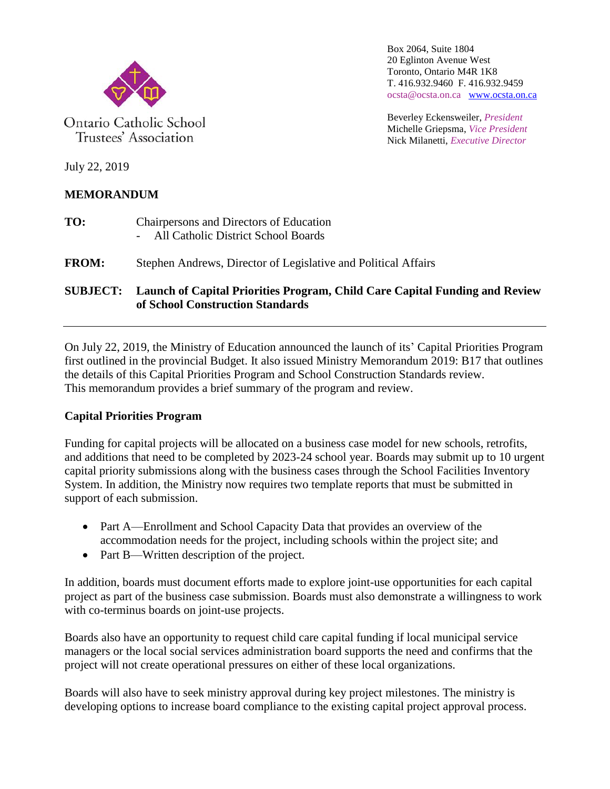

Ontario Catholic School Trustees' Association

Box 2064, Suite 1804 20 Eglinton Avenue West Toronto, Ontario M4R 1K8 T. 416.932.9460 F. 416.932.9459 ocsta@ocsta.on.ca [www.ocsta.on.ca](http://www.ocsta.on.ca/)

Beverley Eckensweiler, *President* Michelle Griepsma, *Vice President* Nick Milanetti, *Executive Director*

July 22, 2019

## **MEMORANDUM**

- **TO:** Chairpersons and Directors of Education - All Catholic District School Boards
- **FROM:** Stephen Andrews, Director of Legislative and Political Affairs

## **SUBJECT: Launch of Capital Priorities Program, Child Care Capital Funding and Review of School Construction Standards**

On July 22, 2019, the Ministry of Education announced the launch of its' Capital Priorities Program first outlined in the provincial Budget. It also issued Ministry Memorandum 2019: B17 that outlines the details of this Capital Priorities Program and School Construction Standards review. This memorandum provides a brief summary of the program and review.

## **Capital Priorities Program**

Funding for capital projects will be allocated on a business case model for new schools, retrofits, and additions that need to be completed by 2023-24 school year. Boards may submit up to 10 urgent capital priority submissions along with the business cases through the School Facilities Inventory System. In addition, the Ministry now requires two template reports that must be submitted in support of each submission.

- Part A—Enrollment and School Capacity Data that provides an overview of the accommodation needs for the project, including schools within the project site; and
- Part B—Written description of the project.

In addition, boards must document efforts made to explore joint-use opportunities for each capital project as part of the business case submission. Boards must also demonstrate a willingness to work with co-terminus boards on joint-use projects.

Boards also have an opportunity to request child care capital funding if local municipal service managers or the local social services administration board supports the need and confirms that the project will not create operational pressures on either of these local organizations.

Boards will also have to seek ministry approval during key project milestones. The ministry is developing options to increase board compliance to the existing capital project approval process.